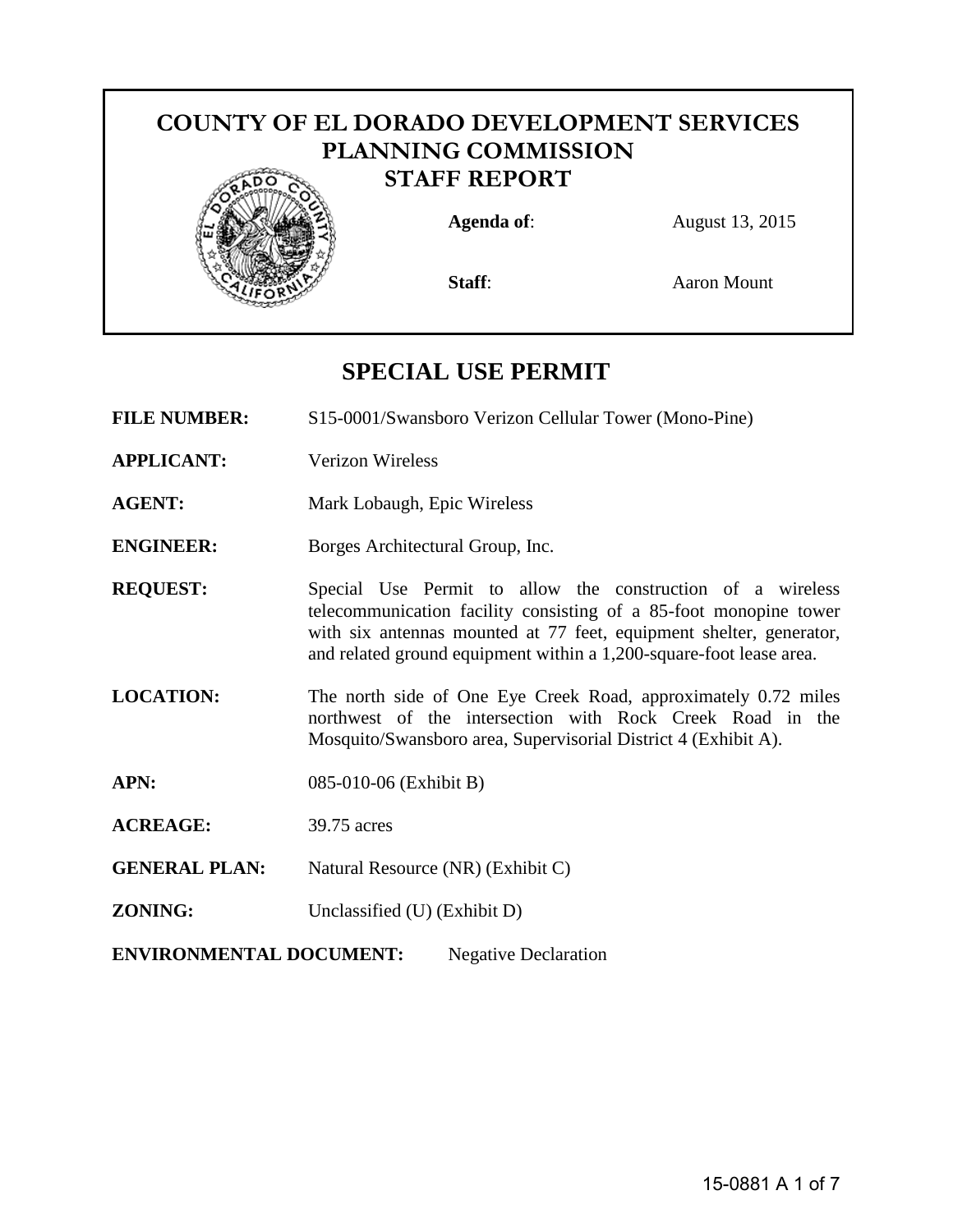# **COUNTY OF EL DORADO DEVELOPMENT SERVICES PLANNING COMMISSION STAFF REPORT Agenda of:** August 13, 2015



**Staff:** Aaron Mount

## **SPECIAL USE PERMIT**

**FILE NUMBER:** S15-0001/Swansboro Verizon Cellular Tower (Mono-Pine)

- **APPLICANT:** Verizon Wireless
- **AGENT:** Mark Lobaugh, Epic Wireless

**ENGINEER:** Borges Architectural Group, Inc.

**REQUEST:** Special Use Permit to allow the construction of a wireless telecommunication facility consisting of a 85-foot monopine tower with six antennas mounted at 77 feet, equipment shelter, generator, and related ground equipment within a 1,200-square-foot lease area.

- **LOCATION:** The north side of One Eye Creek Road, approximately 0.72 miles northwest of the intersection with Rock Creek Road in the Mosquito/Swansboro area, Supervisorial District 4 (Exhibit A).
- **APN:** 085-010-06 (Exhibit B)
- **ACREAGE:** 39.75 acres
- **GENERAL PLAN:** Natural Resource (NR) (Exhibit C)
- **ZONING:** Unclassified (U) (Exhibit D)

<span id="page-0-0"></span>**[ENVIRONMENTAL DOCUMENT:](#page-0-0)** Negative Declaration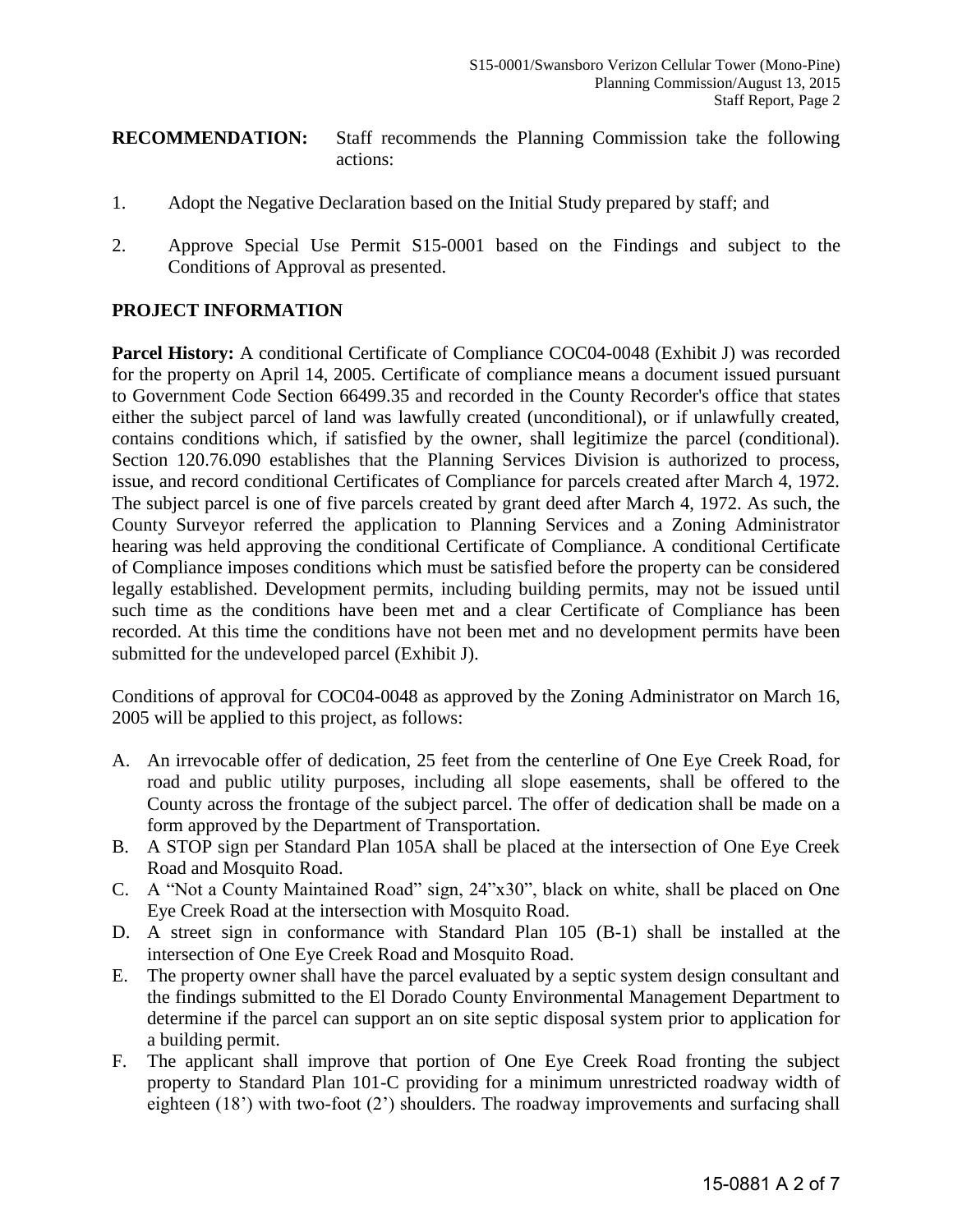#### **RECOMMENDATION:** Staff recommends the Planning Commission take the following actions:

- 1. Adopt the Negative Declaration based on the Initial Study prepared by staff; and
- 2. Approve Special Use Permit S15-0001 based on the Findings and subject to the Conditions of Approval as presented.

#### **PROJECT INFORMATION**

**Parcel History:** A conditional Certificate of Compliance COC04-0048 (Exhibit J) was recorded for the property on April 14, 2005. Certificate of compliance means a document issued pursuant to Government Code Section 66499.35 and recorded in the County Recorder's office that states either the subject parcel of land was lawfully created (unconditional), or if unlawfully created, contains conditions which, if satisfied by the owner, shall legitimize the parcel (conditional). Section 120.76.090 establishes that the Planning Services Division is authorized to process, issue, and record conditional Certificates of Compliance for parcels created after March 4, 1972. The subject parcel is one of five parcels created by grant deed after March 4, 1972. As such, the County Surveyor referred the application to Planning Services and a Zoning Administrator hearing was held approving the conditional Certificate of Compliance. A conditional Certificate of Compliance imposes conditions which must be satisfied before the property can be considered legally established. Development permits, including building permits, may not be issued until such time as the conditions have been met and a clear Certificate of Compliance has been recorded. At this time the conditions have not been met and no development permits have been submitted for the undeveloped parcel (Exhibit J).

Conditions of approval for COC04-0048 as approved by the Zoning Administrator on March 16, 2005 will be applied to this project, as follows:

- A. An irrevocable offer of dedication, 25 feet from the centerline of One Eye Creek Road, for road and public utility purposes, including all slope easements, shall be offered to the County across the frontage of the subject parcel. The offer of dedication shall be made on a form approved by the Department of Transportation.
- B. A STOP sign per Standard Plan 105A shall be placed at the intersection of One Eye Creek Road and Mosquito Road.
- C. A "Not a County Maintained Road" sign, 24"x30", black on white, shall be placed on One Eye Creek Road at the intersection with Mosquito Road.
- D. A street sign in conformance with Standard Plan 105 (B-1) shall be installed at the intersection of One Eye Creek Road and Mosquito Road.
- E. The property owner shall have the parcel evaluated by a septic system design consultant and the findings submitted to the El Dorado County Environmental Management Department to determine if the parcel can support an on site septic disposal system prior to application for a building permit.
- F. The applicant shall improve that portion of One Eye Creek Road fronting the subject property to Standard Plan 101-C providing for a minimum unrestricted roadway width of eighteen (18') with two-foot (2') shoulders. The roadway improvements and surfacing shall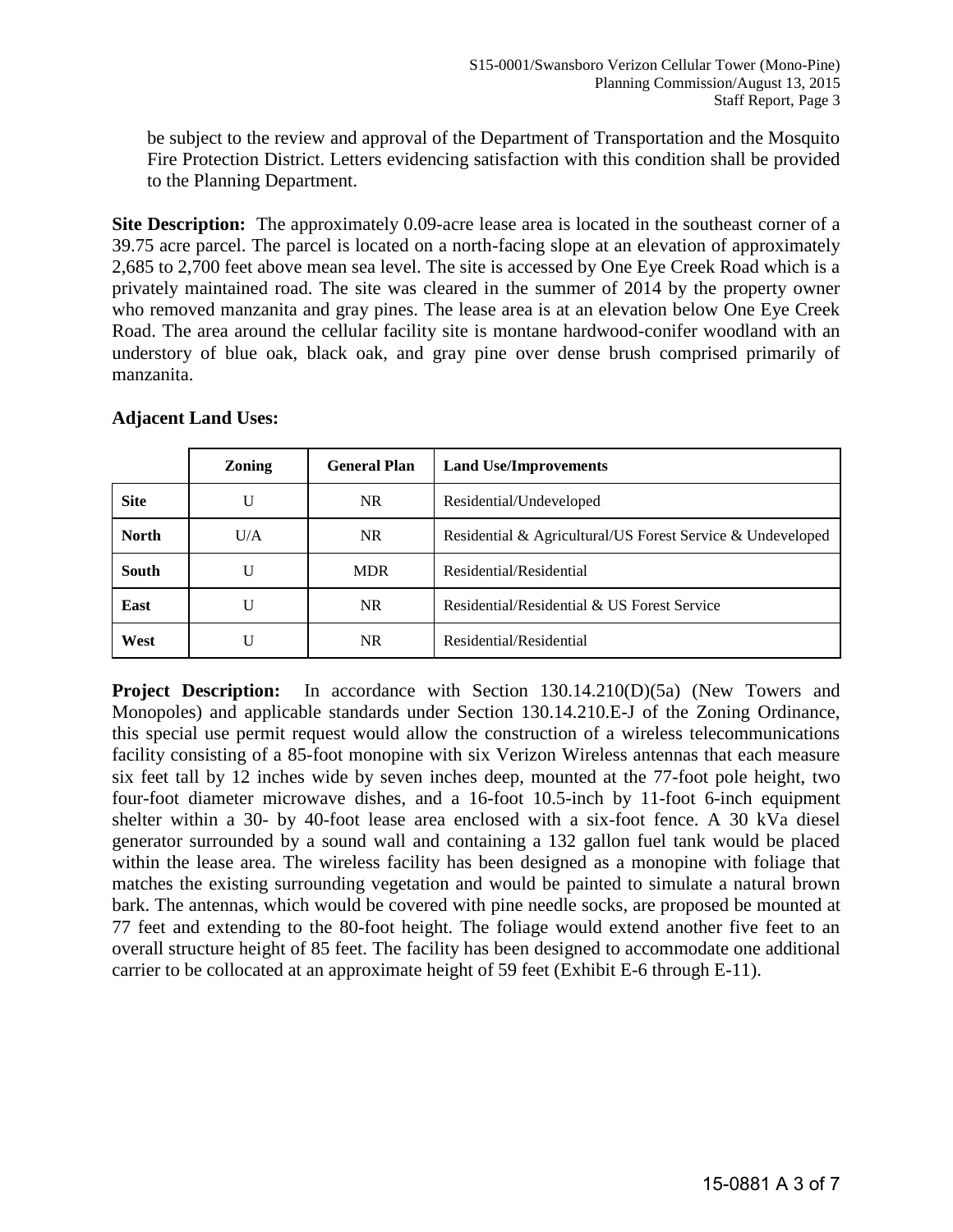<span id="page-2-0"></span>be subject to the review and approval of the Department of Transportation and the Mosquito Fire Protection District. Letters evidencing satisfaction with this condition shall be provided to the Planning Department.

**[Site Description:](#page-2-0)** The approximately 0.09-acre lease area is located in the southeast corner of a 39.75 acre parcel. The parcel is located on a north-facing slope at an elevation of approximately 2,685 to 2,700 feet above mean sea level. The site is accessed by One Eye Creek Road which is a privately maintained road. The site was cleared in the summer of 2014 by the property owner who removed manzanita and gray pines. The lease area is at an elevation below One Eye Creek Road. The area around the cellular facility site is montane hardwood-conifer woodland with an understory of blue oak, black oak, and gray pine over dense brush comprised primarily of manzanita.

|              | <b>Zoning</b> | <b>General Plan</b> | <b>Land Use/Improvements</b>                               |
|--------------|---------------|---------------------|------------------------------------------------------------|
| <b>Site</b>  | U             | NR.                 | Residential/Undeveloped                                    |
| <b>North</b> | U/A           | NR.                 | Residential & Agricultural/US Forest Service & Undeveloped |
| <b>South</b> | U             | <b>MDR</b>          | Residential/Residential                                    |
| East         | U             | NR.                 | Residential/Residential & US Forest Service                |
| West         | U             | NR.                 | Residential/Residential                                    |

#### **Adjacent Land Uses:**

**Project Description:** In accordance with Section 130.14.210(D)(5a) (New Towers and Monopoles) and applicable standards under Section 130.14.210.E-J of the Zoning Ordinance, this special use permit request would allow the construction of a wireless telecommunications facility consisting of a 85-foot monopine with six Verizon Wireless antennas that each measure six feet tall by 12 inches wide by seven inches deep, mounted at the 77-foot pole height, two four-foot diameter microwave dishes, and a 16-foot 10.5-inch by 11-foot 6-inch equipment shelter within a 30- by 40-foot lease area enclosed with a six-foot fence. A 30 kVa diesel generator surrounded by a sound wall and containing a 132 gallon fuel tank would be placed within the lease area. The wireless facility has been designed as a monopine with foliage that matches the existing surrounding vegetation and would be painted to simulate a natural brown bark. The antennas, which would be covered with pine needle socks, are proposed be mounted at 77 feet and extending to the 80-foot height. The foliage would extend another five feet to an overall structure height of 85 feet. The facility has been designed to accommodate one additional carrier to be collocated at an approximate height of 59 feet (Exhibit E-6 through E-11).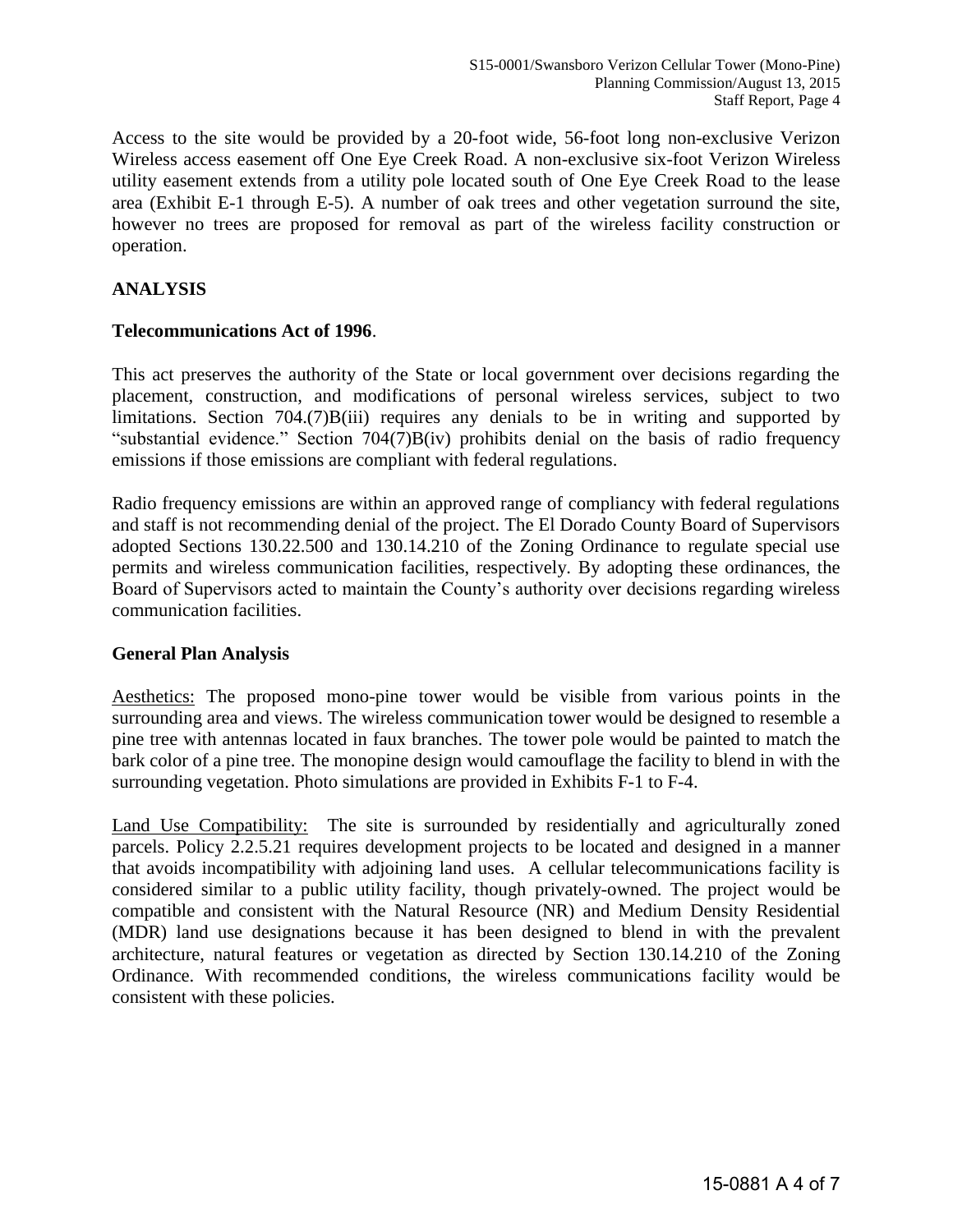Access to the site would be provided by a 20-foot wide, 56-foot long non-exclusive Verizon Wireless access easement off One Eye Creek Road. A non-exclusive six-foot Verizon Wireless utility easement extends from a utility pole located south of One Eye Creek Road to the lease area (Exhibit E-1 through E-5). A number of oak trees and other vegetation surround the site, however no trees are proposed for removal as part of the wireless facility construction or operation.

#### **ANALYSIS**

#### **Telecommunications Act of 1996**.

This act preserves the authority of the State or local government over decisions regarding the placement, construction, and modifications of personal wireless services, subject to two limitations. Section 704.(7)B(iii) requires any denials to be in writing and supported by "substantial evidence." Section 704(7)B(iv) prohibits denial on the basis of radio frequency emissions if those emissions are compliant with federal regulations.

Radio frequency emissions are within an approved range of compliancy with federal regulations and staff is not recommending denial of the project. The El Dorado County Board of Supervisors adopted Sections 130.22.500 and 130.14.210 of the Zoning Ordinance to regulate special use permits and wireless communication facilities, respectively. By adopting these ordinances, the Board of Supervisors acted to maintain the County's authority over decisions regarding wireless communication facilities.

#### **General Plan Analysis**

Aesthetics: The proposed mono-pine tower would be visible from various points in the surrounding area and views. The wireless communication tower would be designed to resemble a pine tree with antennas located in faux branches. The tower pole would be painted to match the bark color of a pine tree. The monopine design would camouflage the facility to blend in with the surrounding vegetation. Photo simulations are provided in Exhibits F-1 to F-4.

Land Use Compatibility: The site is surrounded by residentially and agriculturally zoned parcels. Policy 2.2.5.21 requires development projects to be located and designed in a manner that avoids incompatibility with adjoining land uses. A cellular telecommunications facility is considered similar to a public utility facility, though privately-owned. The project would be compatible and consistent with the Natural Resource (NR) and Medium Density Residential (MDR) land use designations because it has been designed to blend in with the prevalent architecture, natural features or vegetation as directed by Section 130.14.210 of the Zoning Ordinance. With recommended conditions, the wireless communications facility would be consistent with these policies.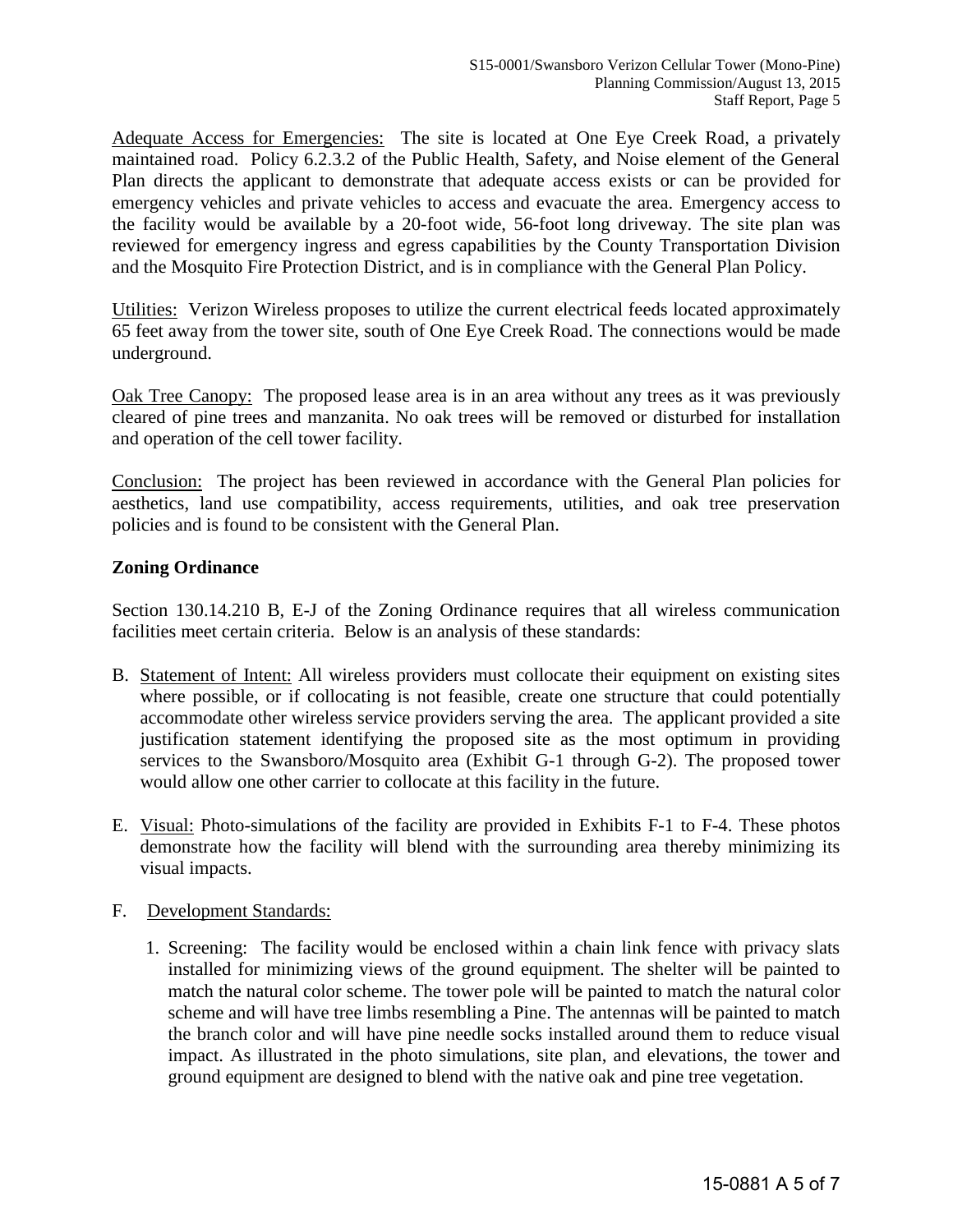Adequate Access for Emergencies: The site is located at One Eye Creek Road, a privately maintained road. Policy 6.2.3.2 of the Public Health, Safety, and Noise element of the General Plan directs the applicant to demonstrate that adequate access exists or can be provided for emergency vehicles and private vehicles to access and evacuate the area. Emergency access to the facility would be available by a 20-foot wide, 56-foot long driveway. The site plan was reviewed for emergency ingress and egress capabilities by the County Transportation Division and the Mosquito Fire Protection District, and is in compliance with the General Plan Policy.

Utilities: Verizon Wireless proposes to utilize the current electrical feeds located approximately 65 feet away from the tower site, south of One Eye Creek Road. The connections would be made underground.

Oak Tree Canopy: The proposed lease area is in an area without any trees as it was previously cleared of pine trees and manzanita. No oak trees will be removed or disturbed for installation and operation of the cell tower facility.

Conclusion:The project has been reviewed in accordance with the General Plan policies for aesthetics, land use compatibility, access requirements, utilities, and oak tree preservation policies and is found to be consistent with the General Plan.

#### **Zoning Ordinance**

Section 130.14.210 B, E-J of the Zoning Ordinance requires that all wireless communication facilities meet certain criteria. Below is an analysis of these standards:

- B. Statement of Intent: All wireless providers must collocate their equipment on existing sites where possible, or if collocating is not feasible, create one structure that could potentially accommodate other wireless service providers serving the area. The applicant provided a site justification statement identifying the proposed site as the most optimum in providing services to the Swansboro/Mosquito area (Exhibit G-1 through G-2). The proposed tower would allow one other carrier to collocate at this facility in the future.
- E. Visual: Photo-simulations of the facility are provided in Exhibits F-1 to F-4. These photos demonstrate how the facility will blend with the surrounding area thereby minimizing its visual impacts.

#### F. Development Standards:

1. Screening: The facility would be enclosed within a chain link fence with privacy slats installed for minimizing views of the ground equipment. The shelter will be painted to match the natural color scheme. The tower pole will be painted to match the natural color scheme and will have tree limbs resembling a Pine. The antennas will be painted to match the branch color and will have pine needle socks installed around them to reduce visual impact. As illustrated in the photo simulations, site plan, and elevations, the tower and ground equipment are designed to blend with the native oak and pine tree vegetation.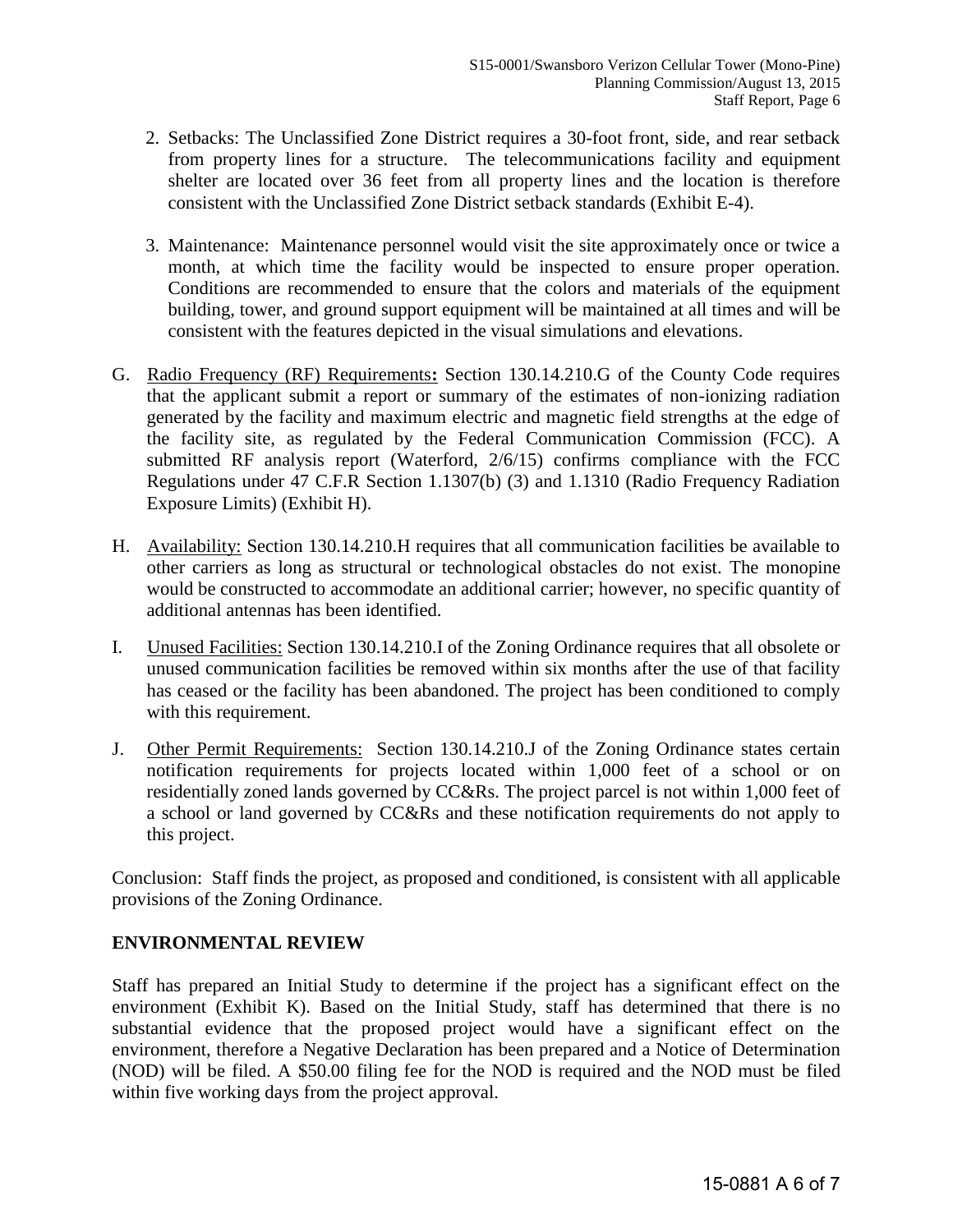- 2. Setbacks: The Unclassified Zone District requires a 30-foot front, side, and rear setback from property lines for a structure. The telecommunications facility and equipment shelter are located over 36 feet from all property lines and the location is therefore consistent with the Unclassified Zone District setback standards (Exhibit E-4).
- <span id="page-5-0"></span>3. [Maintenance:](#page-5-0) Maintenance personnel would visit the site approximately once or twice a month, at which time the facility would be inspected to ensure proper operation. Conditions are recommended to ensure that the colors and materials of the equipment building, tower, and ground support equipment will be maintained at all times and will be consistent with the features depicted in the visual simulations and elevations.
- G. Radio Frequency (RF) Requirements**:** Section 130.14.210.G of the County Code requires that the applicant submit a report or summary of the estimates of non-ionizing radiation generated by the facility and maximum electric and magnetic field strengths at the edge of the facility site, as regulated by the Federal Communication Commission (FCC). A submitted RF analysis report (Waterford, 2/6/15) confirms compliance with the FCC Regulations under 47 C.F.R Section 1.1307(b) (3) and 1.1310 (Radio Frequency Radiation Exposure Limits) (Exhibit H).
- H. Availability: Section 130.14.210.H requires that all communication facilities be available to other carriers as long as structural or technological obstacles do not exist. The monopine would be constructed to accommodate an additional carrier; however, no specific quantity of additional antennas has been identified.
- I. Unused Facilities: Section 130.14.210.I of the Zoning Ordinance requires that all obsolete or unused communication facilities be removed within six months after the use of that facility has ceased or the facility has been abandoned. The project has been conditioned to comply with this requirement.
- J. Other Permit Requirements: Section 130.14.210.J of the Zoning Ordinance states certain notification requirements for projects located within 1,000 feet of a school or on residentially zoned lands governed by CC&Rs. The project parcel is not within 1,000 feet of a school or land governed by CC&Rs and these notification requirements do not apply to this project.

Conclusion: Staff finds the project, as proposed and conditioned, is consistent with all applicable provisions of the Zoning Ordinance.

#### **ENVIRONMENTAL REVIEW**

Staff has prepared an Initial Study to determine if the project has a significant effect on the environment (Exhibit K). Based on the Initial Study, staff has determined that there is no substantial evidence that the proposed project would have a significant effect on the environment, therefore a Negative Declaration has been prepared and a Notice of Determination (NOD) will be filed. A \$50.00 filing fee for the NOD is required and the NOD must be filed within five working days from the project approval.